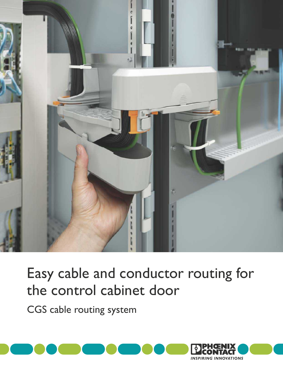

# Easy cable and conductor routing for the control cabinet door

CGS cable routing system

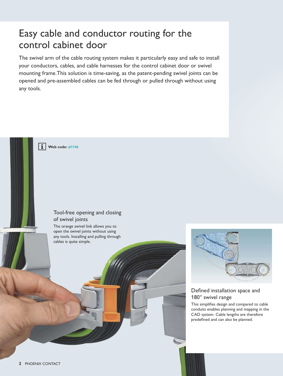# Easy cable and conductor routing for the control cabinet door

The swivel arm of the cable routing system makes it particularly easy and safe to install your conductors, cables, and cable harnesses for the control cabinet door or swivel mounting frame.This solution is time-saving, as the patent-pending swivel joints can be opened and pre-assembled cables can be fed through or pulled through without using any tools.

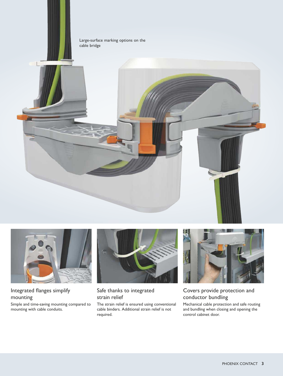





### Integrated flanges simplify mounting

Simple and time-saving mounting compared to mounting with cable conduits.



### Safe thanks to integrated strain relief

The strain relief is ensured using conventional cable binders. Additional strain relief is not required.



### Covers provide protection and conductor bundling

Mechanical cable protection and safe routing and bundling when closing and opening the control cabinet door.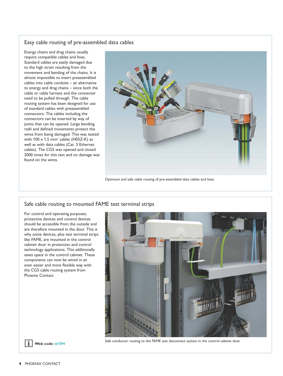### Easy cable routing of pre-assembled data cables

Energy chains and drag chains usually require compatible cables and lines. Standard cables are easily damaged due to the high strain resulting from the movement and bending of the chains. It is almost impossible to insert preassembled cables into cable conduits – an alternative to energy and drag chains – since both the cable or cable harness and the connector need to be pulled through. The cable routing system has been designed for use of standard cables with preassembled connectors. The cables including the connectors can be inserted by way of joints that can be opened. Large bending radii and defined movements protect the wires from being damaged. This was tested with  $100 \times 1.5$  mm<sup>2</sup> cables (H05Z-K) as well as with data cables (Cat. 5 Ethernet cables). The CGS was opened and closed 2000 times for this test and no damage was found on the wires.



Optimum and safe cable routing of pre-assembled data cables and lines

#### Safe cable routing to mounted FAME test terminal strips

For control and operating purposes, protective devices and control devices should be accessible from the outside and are therefore mounted in the door. This is why some devices, plus test terminal strips like FAME, are mounted in the control cabinet door in protection and control technology applications. This additionally saves space in the control cabinet. These components can now be wired in an even easier and more flexible way with the CGS cable routing system from Phoenix Contact.





Safe conductor routing to the FAME test disconnect system in the control cabinet door **[Web code:](http://www.phoenixcontact.net/webcode/#1094)** #1094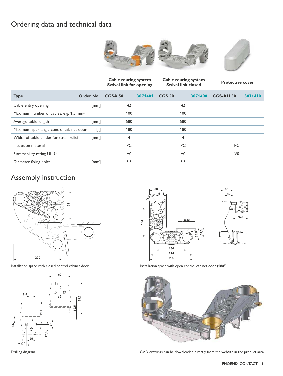### Ordering data and technical data

|                                                    |                    | <b>Cable routing system</b><br><b>Swivel link for opening</b> |         | <b>Cable routing system</b><br><b>Swivel link closed</b> |         | <b>Protective cover</b> |         |
|----------------------------------------------------|--------------------|---------------------------------------------------------------|---------|----------------------------------------------------------|---------|-------------------------|---------|
| <b>Type</b>                                        | Order No.          | <b>CGSA 50</b>                                                | 3071401 | <b>CGS 50</b>                                            | 3071400 | <b>CGS-AH 50</b>        | 3071410 |
| Cable entry opening                                | $\lceil mm \rceil$ | 42                                                            |         | 42                                                       |         |                         |         |
| Maximum number of cables, e.g. 1.5 mm <sup>2</sup> |                    | 100                                                           |         | 100                                                      |         |                         |         |
| Average cable length                               | [mm]               | 580                                                           |         | 580                                                      |         |                         |         |
| Maximum apex angle control cabinet door            | $[^{\circ}]$       | 180                                                           |         | 180                                                      |         |                         |         |
| Width of cable binder for strain relief            | $\lceil mm \rceil$ | 4                                                             |         | 4                                                        |         |                         |         |
| Insulation material                                |                    | PC                                                            |         | <b>PC</b>                                                |         | PC                      |         |
| Flammability rating UL 94                          |                    | V <sub>0</sub>                                                |         | V <sub>0</sub>                                           |         | V <sub>0</sub>          |         |
| Diameter fixing holes                              | $\lceil mm \rceil$ | 5.5                                                           |         | 5.5                                                      |         |                         |         |

### Assembly instruction



Installation space with closed control cabinet door







Installation space with open control cabinet door (180°)



Drilling diagram CAD drawings can be downloaded directly from the website in the product area

**75,5**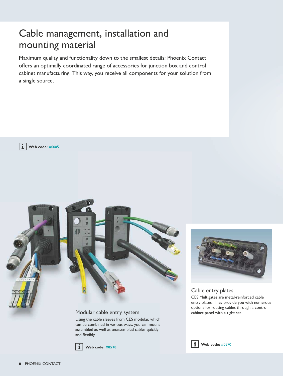# Cable management, installation and mounting material

Maximum quality and functionality down to the smallest details: Phoenix Contact offers an optimally coordinated range of accessories for junction box and control cabinet manufacturing. This way, you receive all components for your solution from a single source.





#### Modular cable entry system cabinet panel with a tight seal.

Using the cable sleeves from CES modular, which can be combined in various ways, you can mount assembled as well as unassembled cables quickly and flexibly.



**[Web code: #0570](http://www.phoenixcontact.net/webcode/#0570)**



### Cable entry plates

CES Multigates are metal-reinforced cable entry plates. They provide you with numerous options for routing cables through a control

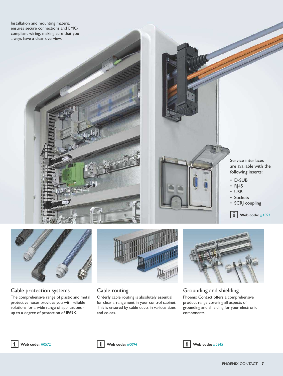Installation and mounting material ensures secure connections and EMCcompliant wiring, making sure that you always have a clear overview.



### Cable protection systems

The comprehensive range of plastic and metal protective hoses provides you with reliable solutions for a wide range of applications up to a degree of protection of IP69K.



### Cable routing

Orderly cable routing is absolutely essential for clear arrangement in your control cabinet. This is ensured by cable ducts in various sizes and colors.



#### Grounding and shielding Phoenix Contact offers a comprehensive product range covering all aspects of grounding and shielding for your electronic components.





$$
\fbox{1}
$$
 web c

 **[Web code:](http://www.phoenixcontact.net/webcode/#0572)** #0572 **[Web code:](http://www.phoenixcontact.net/webcode/#0094)** #0094 **[Web code:](http://www.phoenixcontact.net/webcode/#0845)** #0845

Service interfaces are available with the following inserts:

- D-SUB
- RJ45
- USB
- Sockets
- SCRJ coupling

 $\mathbf{i}$  [Web code:](http://www.phoenixcontact.net/webcode/#1092) #1092

PHOENIX CONTACT **7**